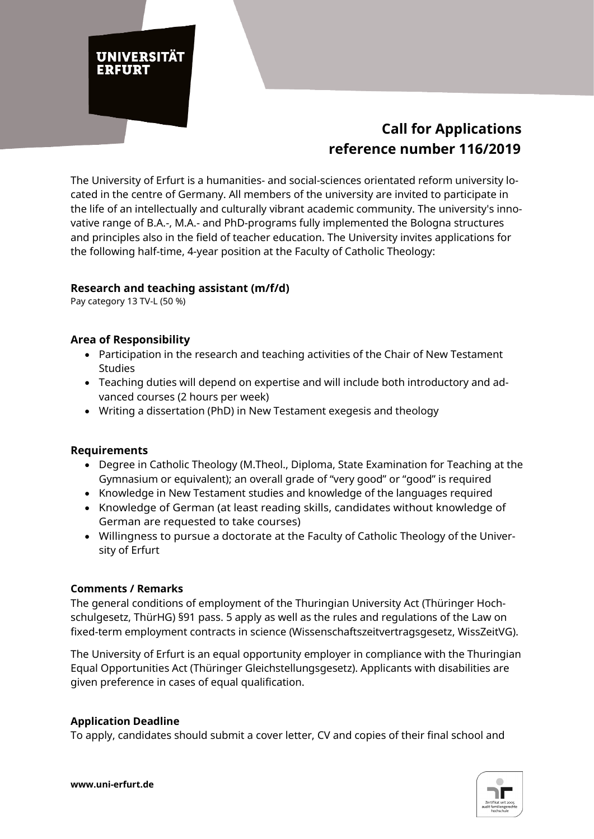# **UNIVERSITÄT** ERFURT

## **Call for Applications reference number 116/2019**

The University of Erfurt is a humanities- and social-sciences orientated reform university located in the centre of Germany. All members of the university are invited to participate in the life of an intellectually and culturally vibrant academic community. The university's innovative range of B.A.-, M.A.- and PhD-programs fully implemented the Bologna structures and principles also in the field of teacher education. The University invites applications for the following half-time, 4-year position at the Faculty of Catholic Theology:

### **Research and teaching assistant (m/f/d)**

Pay category 13 TV-L (50 %)

### **Area of Responsibility**

- Participation in the research and teaching activities of the Chair of New Testament Studies
- Teaching duties will depend on expertise and will include both introductory and advanced courses (2 hours per week)
- Writing a dissertation (PhD) in New Testament exegesis and theology

#### **Requirements**

- Degree in Catholic Theology (M.Theol., Diploma, State Examination for Teaching at the Gymnasium or equivalent); an overall grade of "very good" or "good" is required
- Knowledge in New Testament studies and knowledge of the languages required
- Knowledge of German (at least reading skills, candidates without knowledge of German are requested to take courses)
- Willingness to pursue a doctorate at the Faculty of Catholic Theology of the University of Erfurt

#### **Comments / Remarks**

The general conditions of employment of the Thuringian University Act (Thüringer Hochschulgesetz, ThürHG) §91 pass. 5 apply as well as the rules and regulations of the Law on fixed-term employment contracts in science (Wissenschaftszeitvertragsgesetz, WissZeitVG).

The University of Erfurt is an equal opportunity employer in compliance with the Thuringian Equal Opportunities Act (Thüringer Gleichstellungsgesetz). Applicants with disabilities are given preference in cases of equal qualification.

#### **Application Deadline**

To apply, candidates should submit a cover letter, CV and copies of their final school and